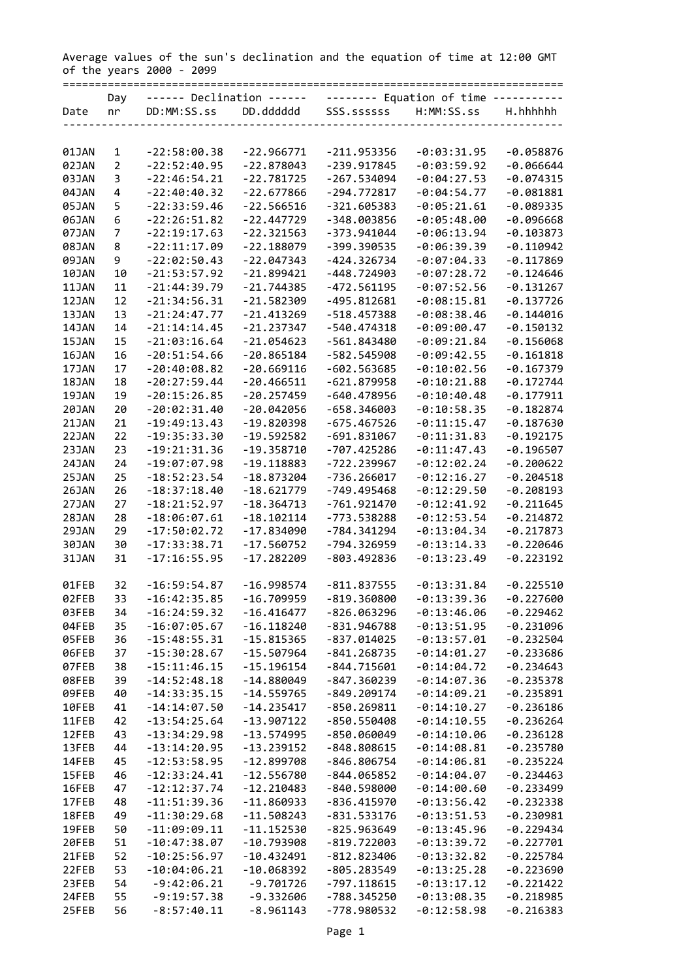Average values of the sun's declination and the equation of time at 12:00 GMT of the years 2000 - 2099 ==============================================================================

|              | Day            | ------ Declination ------ |              |               | -------- Equation of time ----------- |             |
|--------------|----------------|---------------------------|--------------|---------------|---------------------------------------|-------------|
| Date         | nr             | DD:MM:SS.ss               | DD.dddddd    | SSS.ssssss    | H:MM:SS.ss                            | H.hhhhhh    |
|              |                |                           |              |               |                                       |             |
|              |                |                           |              |               |                                       |             |
| 01JAN        | 1              | $-22:58:00.38$            | $-22.966771$ | $-211.953356$ | $-0:03:31.95$                         | $-0.058876$ |
|              | $\overline{2}$ | $-22:52:40.95$            | $-22.878043$ | $-239.917845$ |                                       |             |
| 02JAN        |                |                           |              |               | $-0:03:59.92$                         | $-0.066644$ |
| 03JAN        | 3              | $-22:46:54.21$            | $-22.781725$ | $-267.534094$ | $-0:04:27.53$                         | $-0.074315$ |
| 04JAN        | 4              | $-22:40:40.32$            | $-22.677866$ | -294.772817   | $-0:04:54.77$                         | $-0.081881$ |
| 05JAN        | 5              | $-22:33:59.46$            | $-22.566516$ | $-321.605383$ | $-0:05:21.61$                         | $-0.089335$ |
| 06JAN        | 6              | $-22:26:51.82$            | $-22.447729$ | -348.003856   | $-0:05:48.00$                         | $-0.096668$ |
| 07JAN        | 7              | $-22:19:17.63$            | $-22.321563$ | -373.941044   | $-0:06:13.94$                         | $-0.103873$ |
| <b>08JAN</b> | 8              | $-22:11:17.09$            | $-22.188079$ | -399.390535   | $-0:06:39.39$                         | $-0.110942$ |
| 09JAN        | 9              | $-22:02:50.43$            | $-22.047343$ | $-424.326734$ | $-0:07:04.33$                         | $-0.117869$ |
|              |                |                           | $-21.899421$ |               |                                       |             |
| 10JAN        | 10             | $-21:53:57.92$            |              | -448.724903   | $-0:07:28.72$                         | $-0.124646$ |
| 11JAN        | 11             | $-21:44:39.79$            | $-21.744385$ | $-472.561195$ | $-0:07:52.56$                         | $-0.131267$ |
| 12JAN        | 12             | $-21:34:56.31$            | $-21.582309$ | -495.812681   | $-0:08:15.81$                         | $-0.137726$ |
| 13JAN        | 13             | $-21:24:47.77$            | $-21.413269$ | $-518.457388$ | $-0:08:38.46$                         | $-0.144016$ |
| 14JAN        | 14             | $-21:14:14.45$            | $-21.237347$ | $-540.474318$ | $-0:09:00.47$                         | $-0.150132$ |
| 15JAN        | 15             | $-21:03:16.64$            | $-21.054623$ | -561.843480   | $-0:09:21.84$                         | $-0.156068$ |
| 16JAN        | 16             | $-20:51:54.66$            | $-20.865184$ | $-582.545908$ | $-0:09:42.55$                         | $-0.161818$ |
| 17JAN        | 17             | $-20:40:08.82$            | $-20.669116$ | -602.563685   | $-0:10:02.56$                         | $-0.167379$ |
|              |                |                           | $-20.466511$ |               |                                       |             |
| 18JAN        | 18             | $-20:27:59.44$            |              | $-621.879958$ | $-0:10:21.88$                         | $-0.172744$ |
| 19JAN        | 19             | $-20:15:26.85$            | $-20.257459$ | $-640.478956$ | $-0:10:40.48$                         | $-0.177911$ |
| 20JAN        | 20             | $-20:02:31.40$            | $-20.042056$ | -658.346003   | $-0:10:58.35$                         | $-0.182874$ |
| 21JAN        | 21             | $-19:49:13.43$            | $-19.820398$ | $-675.467526$ | $-0:11:15.47$                         | $-0.187630$ |
| 22JAN        | 22             | $-19:35:33.30$            | $-19.592582$ | $-691.831067$ | $-0:11:31.83$                         | $-0.192175$ |
| 23JAN        | 23             | $-19:21:31.36$            | $-19.358710$ | -707.425286   | $-0:11:47.43$                         | $-0.196507$ |
| 24JAN        | 24             | $-19:07:07.98$            | $-19.118883$ | -722.239967   | $-0:12:02.24$                         | $-0.200622$ |
| 25JAN        | 25             | $-18:52:23.54$            | $-18.873204$ | $-736.266017$ | $-0:12:16.27$                         | $-0.204518$ |
| 26JAN        | 26             | $-18:37:18.40$            | $-18.621779$ | -749.495468   | $-0:12:29.50$                         | $-0.208193$ |
| 27JAN        | 27             | $-18:21:52.97$            | $-18.364713$ | $-761.921470$ | $-0:12:41.92$                         | $-0.211645$ |
| 28JAN        | 28             | $-18:06:07.61$            | $-18.102114$ | $-773.538288$ | $-0:12:53.54$                         | $-0.214872$ |
|              |                |                           |              |               |                                       |             |
| 29JAN        | 29             | $-17:50:02.72$            | $-17.834090$ | -784.341294   | $-0:13:04.34$                         | $-0.217873$ |
| 30JAN        | 30             | $-17:33:38.71$            | $-17.560752$ | -794.326959   | $-0:13:14.33$                         | $-0.220646$ |
| 31JAN        | 31             | $-17:16:55.95$            | $-17.282209$ | -803.492836   | $-0:13:23.49$                         | $-0.223192$ |
|              |                |                           |              |               |                                       |             |
| 01FEB        | 32             | $-16:59:54.87$            | $-16.998574$ | $-811.837555$ | $-0:13:31.84$                         | $-0.225510$ |
| 02FEB        | 33             | $-16:42:35.85$            | $-16.709959$ | $-819.360800$ | $-0:13:39.36$                         | $-0.227600$ |
| 03FEB        | 34             | $-16:24:59.32$            | $-16.416477$ | $-826.063296$ | $-0:13:46.06$                         | $-0.229462$ |
| 04FEB        | 35             | $-16:07:05.67$            | $-16.118240$ | $-831.946788$ | $-0:13:51.95$                         | $-0.231096$ |
| 05FEB        | 36             | $-15:48:55.31$            | $-15.815365$ | $-837.014025$ | $-0:13:57.01$                         | $-0.232504$ |
| 06FEB        | 37             | $-15:30:28.67$            | $-15.507964$ | $-841.268735$ | $-0:14:01.27$                         | $-0.233686$ |
| 07FEB        | 38             | $-15:11:46.15$            | $-15.196154$ | $-844.715601$ | $-0:14:04.72$                         | $-0.234643$ |
|              |                |                           |              |               |                                       |             |
| 08FEB        | 39             | $-14:52:48.18$            | $-14.880049$ | -847.360239   | $-0:14:07.36$                         | $-0.235378$ |
| 09FEB        | 40             | $-14:33:35.15$            | $-14.559765$ | $-849.209174$ | $-0:14:09.21$                         | $-0.235891$ |
| 10FEB        | 41             | $-14:14:07.50$            | $-14.235417$ | $-850.269811$ | $-0:14:10.27$                         | $-0.236186$ |
| 11FEB        | 42             | $-13:54:25.64$            | $-13.907122$ | $-850.550408$ | $-0:14:10.55$                         | $-0.236264$ |
| 12FEB        | 43             | $-13:34:29.98$            | $-13.574995$ | $-850.060049$ | $-0:14:10.06$                         | $-0.236128$ |
| 13FEB        | 44             | $-13:14:20.95$            | $-13.239152$ | $-848.808615$ | $-0:14:08.81$                         | $-0.235780$ |
| 14FEB        | 45             | $-12:53:58.95$            | $-12.899708$ | $-846.806754$ | $-0:14:06.81$                         | $-0.235224$ |
| 15FEB        | 46             | $-12:33:24.41$            | $-12.556780$ | $-844.065852$ | $-0:14:04.07$                         | $-0.234463$ |
| 16FEB        | 47             | $-12:12:37.74$            | $-12.210483$ | $-840.598000$ | $-0:14:00.60$                         | $-0.233499$ |
| 17FEB        | 48             | $-11:51:39.36$            | $-11.860933$ | $-836.415970$ | $-0:13:56.42$                         | $-0.232338$ |
|              |                |                           |              |               |                                       |             |
| 18FEB        | 49             | $-11:30:29.68$            | $-11.508243$ | $-831.533176$ | $-0:13:51.53$                         | $-0.230981$ |
| 19FEB        | 50             | $-11:09:09.11$            | $-11.152530$ | $-825.963649$ | $-0:13:45.96$                         | $-0.229434$ |
| 20FEB        | 51             | $-10:47:38.07$            | $-10.793908$ | $-819.722003$ | $-0:13:39.72$                         | $-0.227701$ |
| 21FEB        | 52             | $-10:25:56.97$            | $-10.432491$ | $-812.823406$ | $-0:13:32.82$                         | $-0.225784$ |
| 22FEB        | 53             | $-10:04:06.21$            | $-10.068392$ | $-805.283549$ | $-0:13:25.28$                         | $-0.223690$ |
| 23FEB        | 54             | $-9:42:06.21$             | $-9.701726$  | $-797.118615$ | $-0:13:17.12$                         | $-0.221422$ |
| 24FEB        | 55             | $-9:19:57.38$             | $-9.332606$  | -788.345250   | $-0:13:08.35$                         | $-0.218985$ |
| 25FEB        | 56             | $-8:57:40.11$             | $-8.961143$  | -778.980532   | $-0:12:58.98$                         | $-0.216383$ |
|              |                |                           |              |               |                                       |             |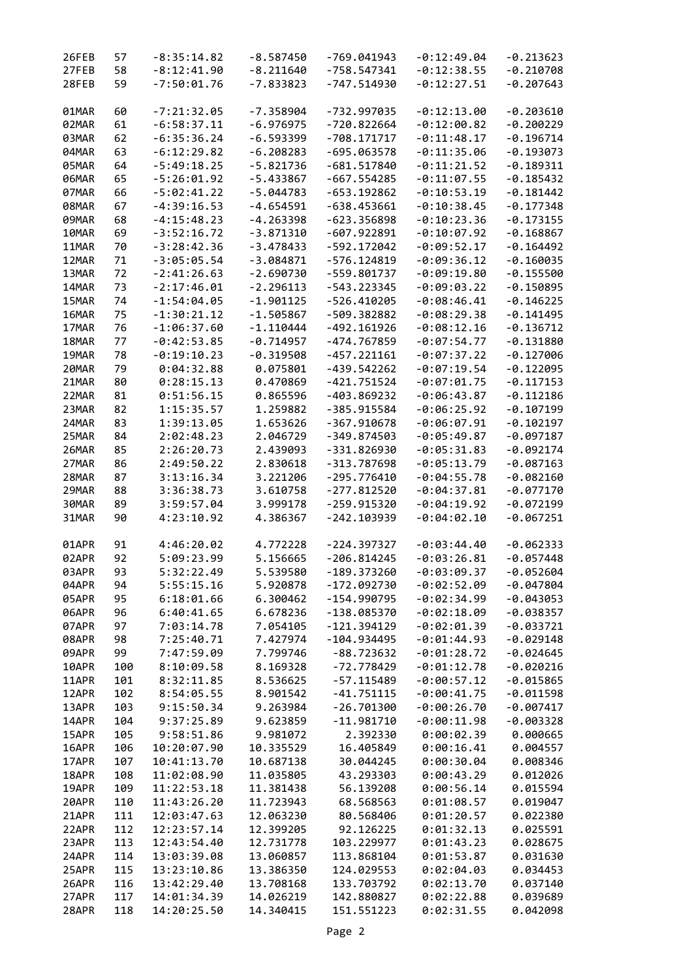| 26FEB | 57  | $-8:35:14.82$ | $-8.587450$ | $-769.041943$ | $-0:12:49.04$ | $-0.213623$ |
|-------|-----|---------------|-------------|---------------|---------------|-------------|
| 27FEB | 58  | $-8:12:41.90$ | $-8.211640$ | $-758.547341$ | $-0:12:38.55$ | $-0.210708$ |
| 28FEB | 59  | $-7:50:01.76$ | $-7.833823$ | -747.514930   | $-0:12:27.51$ | $-0.207643$ |
|       |     |               |             |               |               |             |
| 01MAR | 60  | $-7:21:32.05$ | $-7.358904$ | -732.997035   | $-0:12:13.00$ | $-0.203610$ |
| 02MAR | 61  | $-6:58:37.11$ | $-6.976975$ | $-720.822664$ | $-0:12:00.82$ | $-0.200229$ |
| 03MAR | 62  | $-6:35:36.24$ | $-6.593399$ | $-708.171717$ | $-0:11:48.17$ | $-0.196714$ |
| 04MAR | 63  | $-6:12:29.82$ | $-6.208283$ | $-695.063578$ | $-0:11:35.06$ | $-0.193073$ |
|       |     |               |             |               |               |             |
| 05MAR | 64  | $-5:49:18.25$ | $-5.821736$ | $-681.517840$ | $-0:11:21.52$ | $-0.189311$ |
| 06MAR | 65  | $-5:26:01.92$ | $-5.433867$ | $-667.554285$ | $-0:11:07.55$ | $-0.185432$ |
| 07MAR | 66  | $-5:02:41.22$ | $-5.044783$ | $-653.192862$ | $-0:10:53.19$ | $-0.181442$ |
| 08MAR | 67  | $-4:39:16.53$ | -4.654591   | -638.453661   | $-0:10:38.45$ | $-0.177348$ |
| 09MAR | 68  | $-4:15:48.23$ | $-4.263398$ | $-623.356898$ | $-0:10:23.36$ | $-0.173155$ |
| 10MAR | 69  | $-3:52:16.72$ | $-3.871310$ | $-607.922891$ | $-0:10:07.92$ | $-0.168867$ |
| 11MAR | 70  | $-3:28:42.36$ | $-3.478433$ | $-592.172042$ | $-0:09:52.17$ | $-0.164492$ |
| 12MAR | 71  | $-3:05:05.54$ | $-3.084871$ | $-576.124819$ | $-0:09:36.12$ | $-0.160035$ |
| 13MAR | 72  | $-2:41:26.63$ | $-2.690730$ | -559.801737   | $-0:09:19.80$ | $-0.155500$ |
| 14MAR | 73  | $-2:17:46.01$ | $-2.296113$ | -543.223345   | $-0:09:03.22$ | $-0.150895$ |
| 15MAR | 74  | $-1:54:04.05$ | $-1.901125$ | $-526.410205$ | $-0:08:46.41$ | $-0.146225$ |
| 16MAR | 75  | $-1:30:21.12$ | $-1.505867$ | -509.382882   | $-0:08:29.38$ | $-0.141495$ |
| 17MAR | 76  | $-1:06:37.60$ | $-1.110444$ | $-492.161926$ | $-0:08:12.16$ | $-0.136712$ |
| 18MAR | 77  | $-0:42:53.85$ | $-0.714957$ | -474.767859   | $-0:07:54.77$ | $-0.131880$ |
|       |     | $-0:19:10.23$ | $-0.319508$ |               |               |             |
| 19MAR | 78  |               |             | $-457.221161$ | $-0:07:37.22$ | $-0.127006$ |
| 20MAR | 79  | 0:04:32.88    | 0.075801    | $-439.542262$ | $-0:07:19.54$ | $-0.122095$ |
| 21MAR | 80  | 0:28:15.13    | 0.470869    | $-421.751524$ | $-0:07:01.75$ | $-0.117153$ |
| 22MAR | 81  | 0:51:56.15    | 0.865596    | -403.869232   | $-0:06:43.87$ | $-0.112186$ |
| 23MAR | 82  | 1:15:35.57    | 1.259882    | $-385.915584$ | $-0:06:25.92$ | $-0.107199$ |
| 24MAR | 83  | 1:39:13.05    | 1.653626    | $-367.910678$ | $-0:06:07.91$ | $-0.102197$ |
| 25MAR | 84  | 2:02:48.23    | 2.046729    | $-349.874503$ | $-0:05:49.87$ | $-0.097187$ |
| 26MAR | 85  | 2:26:20.73    | 2.439093    | $-331.826930$ | $-0:05:31.83$ | $-0.092174$ |
| 27MAR | 86  | 2:49:50.22    | 2.830618    | $-313.787698$ | $-0:05:13.79$ | $-0.087163$ |
| 28MAR | 87  | 3:13:16.34    | 3.221206    | $-295.776410$ | $-0:04:55.78$ | $-0.082160$ |
| 29MAR | 88  | 3:36:38.73    | 3.610758    | $-277.812520$ | $-0:04:37.81$ | $-0.077170$ |
| 30MAR | 89  | 3:59:57.04    | 3.999178    | -259.915320   | $-0:04:19.92$ | $-0.072199$ |
| 31MAR | 90  | 4:23:10.92    | 4.386367    | $-242.103939$ | $-0:04:02.10$ | $-0.067251$ |
| 01APR | 91  | 4:46:20.02    | 4.772228    | $-224.397327$ | $-0:03:44.40$ | $-0.062333$ |
| 02APR | 92  | 5:09:23.99    | 5.156665    | $-206.814245$ | $-0:03:26.81$ | $-0.057448$ |
| 03APR | 93  | 5:32:22.49    | 5.539580    | $-189.373260$ | $-0:03:09.37$ | $-0.052604$ |
| 04APR | 94  | 5:55:15.16    | 5.920878    | $-172.092730$ | $-0:02:52.09$ | $-0.047804$ |
| 05APR | 95  | 6:18:01.66    | 6.300462    | $-154.990795$ | $-0:02:34.99$ | $-0.043053$ |
| 06APR |     | 6:40:41.65    | 6.678236    | $-138.085370$ | $-0:02:18.09$ | $-0.038357$ |
|       | 96  |               |             | $-121.394129$ | $-0:02:01.39$ | $-0.033721$ |
| 07APR | 97  | 7:03:14.78    | 7.054105    |               |               |             |
| 08APR | 98  | 7:25:40.71    | 7.427974    | $-104.934495$ | $-0:01:44.93$ | $-0.029148$ |
| 09APR | 99  | 7:47:59.09    | 7.799746    | $-88.723632$  | $-0:01:28.72$ | $-0.024645$ |
| 10APR | 100 | 8:10:09.58    | 8.169328    | -72.778429    | $-0:01:12.78$ | $-0.020216$ |
| 11APR | 101 | 8:32:11.85    | 8.536625    | $-57.115489$  | $-0:00:57.12$ | $-0.015865$ |
| 12APR | 102 | 8:54:05.55    | 8.901542    | $-41.751115$  | $-0:00:41.75$ | $-0.011598$ |
| 13APR | 103 | 9:15:50.34    | 9.263984    | $-26.701300$  | $-0:00:26.70$ | $-0.007417$ |
| 14APR | 104 | 9:37:25.89    | 9.623859    | $-11.981710$  | $-0:00:11.98$ | $-0.003328$ |
| 15APR | 105 | 9:58:51.86    | 9.981072    | 2.392330      | 0:00:02.39    | 0.000665    |
| 16APR | 106 | 10:20:07.90   | 10.335529   | 16.405849     | 0:00:16.41    | 0.004557    |
| 17APR | 107 | 10:41:13.70   | 10.687138   | 30.044245     | 0:00:30.04    | 0.008346    |
| 18APR | 108 | 11:02:08.90   | 11.035805   | 43.293303     | 0:00:43.29    | 0.012026    |
| 19APR | 109 | 11:22:53.18   | 11.381438   | 56.139208     | 0:00:56.14    | 0.015594    |
| 20APR | 110 | 11:43:26.20   | 11.723943   | 68.568563     | 0:01:08.57    | 0.019047    |
| 21APR | 111 | 12:03:47.63   | 12.063230   | 80.568406     | 0:01:20.57    | 0.022380    |
| 22APR | 112 | 12:23:57.14   | 12.399205   | 92.126225     | 0:01:32.13    | 0.025591    |
| 23APR | 113 | 12:43:54.40   | 12.731778   | 103.229977    | 0:01:43.23    | 0.028675    |
| 24APR | 114 | 13:03:39.08   | 13.060857   | 113.868104    | 0:01:53.87    | 0.031630    |
| 25APR | 115 | 13:23:10.86   | 13.386350   | 124.029553    | 0:02:04.03    | 0.034453    |
| 26APR | 116 | 13:42:29.40   | 13.708168   | 133.703792    | 0:02:13.70    | 0.037140    |
| 27APR | 117 | 14:01:34.39   | 14.026219   | 142.880827    | 0:02:22.88    | 0.039689    |
| 28APR | 118 | 14:20:25.50   | 14.340415   | 151.551223    | 0:02:31.55    | 0.042098    |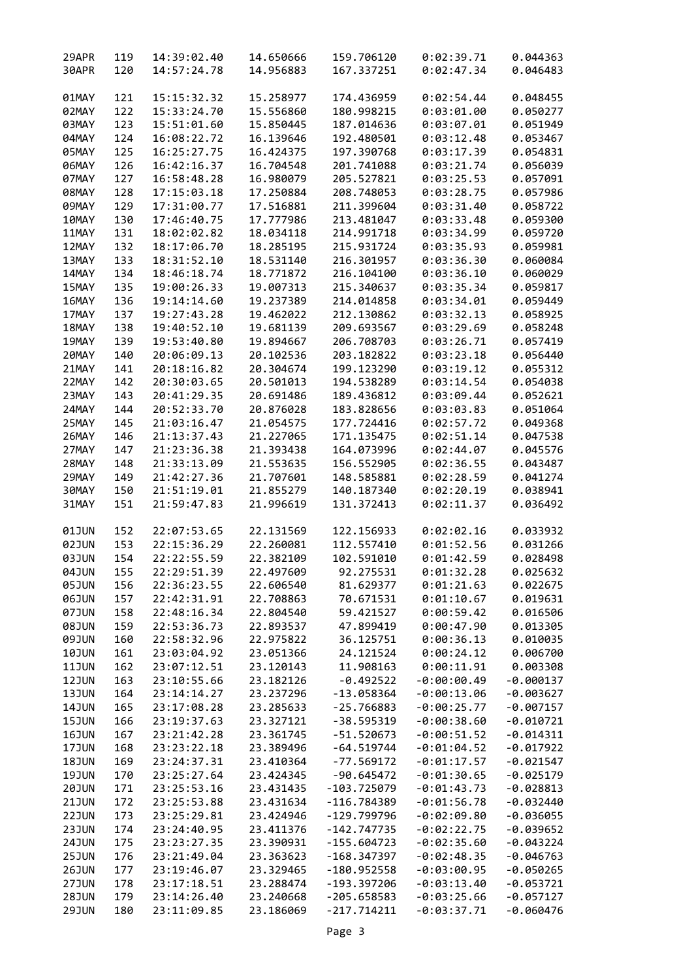| 29APR        | 119 | 14:39:02.40 | 14.650666 | 159.706120    | 0:02:39.71    | 0.044363    |
|--------------|-----|-------------|-----------|---------------|---------------|-------------|
| 30APR        | 120 | 14:57:24.78 | 14.956883 | 167.337251    | 0:02:47.34    | 0.046483    |
|              |     |             |           |               |               |             |
|              |     |             |           |               |               |             |
| 01MAY        | 121 | 15:15:32.32 | 15.258977 | 174.436959    | 0:02:54.44    | 0.048455    |
| 02MAY        | 122 | 15:33:24.70 | 15.556860 | 180.998215    | 0:03:01.00    | 0.050277    |
| 03MAY        | 123 | 15:51:01.60 | 15.850445 | 187.014636    | 0:03:07.01    | 0.051949    |
| 04MAY        | 124 | 16:08:22.72 | 16.139646 | 192.480501    | 0:03:12.48    | 0.053467    |
| 05MAY        | 125 | 16:25:27.75 | 16.424375 | 197.390768    | 0:03:17.39    | 0.054831    |
| 06MAY        | 126 | 16:42:16.37 | 16.704548 | 201.741088    | 0:03:21.74    | 0.056039    |
| 07MAY        | 127 | 16:58:48.28 | 16.980079 | 205.527821    | 0:03:25.53    | 0.057091    |
| 08MAY        | 128 | 17:15:03.18 | 17.250884 | 208.748053    | 0:03:28.75    | 0.057986    |
| 09MAY        | 129 | 17:31:00.77 |           | 211.399604    | 0:03:31.40    | 0.058722    |
|              |     |             | 17.516881 |               |               |             |
| 10MAY        | 130 | 17:46:40.75 | 17.777986 | 213.481047    | 0:03:33.48    | 0.059300    |
| 11MAY        | 131 | 18:02:02.82 | 18.034118 | 214.991718    | 0:03:34.99    | 0.059720    |
| 12MAY        | 132 | 18:17:06.70 | 18.285195 | 215.931724    | 0:03:35.93    | 0.059981    |
| 13MAY        | 133 | 18:31:52.10 | 18.531140 | 216.301957    | 0:03:36.30    | 0.060084    |
| 14MAY        | 134 | 18:46:18.74 | 18.771872 | 216.104100    | 0:03:36.10    | 0.060029    |
| 15MAY        | 135 | 19:00:26.33 | 19.007313 | 215.340637    | 0:03:35.34    | 0.059817    |
| 16MAY        | 136 | 19:14:14.60 | 19.237389 | 214.014858    | 0:03:34.01    | 0.059449    |
| 17MAY        | 137 | 19:27:43.28 | 19.462022 | 212.130862    | 0:03:32.13    | 0.058925    |
| 18MAY        | 138 | 19:40:52.10 | 19.681139 | 209.693567    | 0:03:29.69    | 0.058248    |
|              |     |             |           |               |               |             |
| 19MAY        | 139 | 19:53:40.80 | 19.894667 | 206.708703    | 0:03:26.71    | 0.057419    |
| 20MAY        | 140 | 20:06:09.13 | 20.102536 | 203.182822    | 0:03:23.18    | 0.056440    |
| 21MAY        | 141 | 20:18:16.82 | 20.304674 | 199.123290    | 0:03:19.12    | 0.055312    |
| 22MAY        | 142 | 20:30:03.65 | 20.501013 | 194.538289    | 0:03:14.54    | 0.054038    |
| 23MAY        | 143 | 20:41:29.35 | 20.691486 | 189.436812    | 0:03:09.44    | 0.052621    |
| 24MAY        | 144 | 20:52:33.70 | 20.876028 | 183.828656    | 0:03:03.83    | 0.051064    |
| 25MAY        | 145 | 21:03:16.47 | 21.054575 | 177.724416    | 0:02:57.72    | 0.049368    |
| 26MAY        | 146 | 21:13:37.43 | 21.227065 | 171.135475    | 0:02:51.14    | 0.047538    |
| 27MAY        | 147 | 21:23:36.38 | 21.393438 | 164.073996    | 0:02:44.07    | 0.045576    |
| 28MAY        | 148 | 21:33:13.09 | 21.553635 | 156.552905    | 0:02:36.55    | 0.043487    |
|              |     |             |           |               |               |             |
| 29MAY        | 149 | 21:42:27.36 | 21.707601 | 148.585881    | 0:02:28.59    | 0.041274    |
| 30MAY        | 150 | 21:51:19.01 | 21.855279 | 140.187340    | 0:02:20.19    | 0.038941    |
| 31MAY        | 151 | 21:59:47.83 | 21.996619 | 131.372413    | 0:02:11.37    | 0.036492    |
|              |     |             |           |               |               |             |
| 01JUN        | 152 | 22:07:53.65 | 22.131569 | 122.156933    | 0:02:02.16    | 0.033932    |
| 02JUN        | 153 | 22:15:36.29 | 22.260081 | 112.557410    | 0:01:52.56    | 0.031266    |
| 03JUN        | 154 | 22:22:55.59 | 22.382109 | 102.591010    | 0:01:42.59    | 0.028498    |
| 04JUN        | 155 | 22:29:51.39 | 22.497609 | 92.275531     | 0:01:32.28    | 0.025632    |
| <b>05JUN</b> | 156 | 22:36:23.55 | 22.606540 | 81.629377     | 0:01:21.63    | 0.022675    |
| 06JUN        | 157 | 22:42:31.91 | 22.708863 | 70.671531     | 0:01:10.67    | 0.019631    |
| 07JUN        | 158 | 22:48:16.34 | 22.804540 | 59.421527     | 0:00:59.42    | 0.016506    |
|              |     |             |           |               |               |             |
| <b>08JUN</b> | 159 | 22:53:36.73 | 22.893537 | 47.899419     | 0:00:47.90    | 0.013305    |
| <b>09JUN</b> | 160 | 22:58:32.96 | 22.975822 | 36.125751     | 0:00:36.13    | 0.010035    |
| <b>10JUN</b> | 161 | 23:03:04.92 | 23.051366 | 24.121524     | 0:00:24.12    | 0.006700    |
| <b>11JUN</b> | 162 | 23:07:12.51 | 23.120143 | 11.908163     | 0:00:11.91    | 0.003308    |
| 12JUN        | 163 | 23:10:55.66 | 23.182126 | $-0.492522$   | $-0:00:00.49$ | $-0.000137$ |
| 13JUN        | 164 | 23:14:14.27 | 23.237296 | $-13.058364$  | $-0:00:13.06$ | $-0.003627$ |
| 14JUN        | 165 | 23:17:08.28 | 23.285633 | $-25.766883$  | $-0:00:25.77$ | $-0.007157$ |
| <b>15JUN</b> | 166 | 23:19:37.63 | 23.327121 | $-38.595319$  | $-0:00:38.60$ | $-0.010721$ |
| <b>16JUN</b> | 167 | 23:21:42.28 | 23.361745 | $-51.520673$  | $-0:00:51.52$ | $-0.014311$ |
| 17JUN        | 168 | 23:23:22.18 | 23.389496 | $-64.519744$  | $-0:01:04.52$ | $-0.017922$ |
|              |     |             |           |               |               |             |
| <b>18JUN</b> | 169 | 23:24:37.31 | 23.410364 | $-77.569172$  | $-0:01:17.57$ | $-0.021547$ |
| <b>19JUN</b> | 170 | 23:25:27.64 | 23.424345 | $-90.645472$  | $-0:01:30.65$ | $-0.025179$ |
| <b>20JUN</b> | 171 | 23:25:53.16 | 23.431435 | $-103.725079$ | $-0:01:43.73$ | $-0.028813$ |
| <b>21JUN</b> | 172 | 23:25:53.88 | 23.431634 | -116.784389   | $-0:01:56.78$ | $-0.032440$ |
| 22JUN        | 173 | 23:25:29.81 | 23.424946 | $-129.799796$ | $-0:02:09.80$ | $-0.036055$ |
| <b>23JUN</b> | 174 | 23:24:40.95 | 23.411376 | $-142.747735$ | $-0:02:22.75$ | $-0.039652$ |
| <b>24JUN</b> | 175 | 23:23:27.35 | 23.390931 | $-155.604723$ | $-0:02:35.60$ | $-0.043224$ |
| <b>25JUN</b> | 176 | 23:21:49.04 | 23.363623 | $-168.347397$ | $-0:02:48.35$ | $-0.046763$ |
| <b>26JUN</b> | 177 | 23:19:46.07 | 23.329465 | $-180.952558$ | $-0:03:00.95$ | $-0.050265$ |
|              | 178 |             |           |               |               |             |
| 27JUN        |     | 23:17:18.51 | 23.288474 | $-193.397206$ | $-0:03:13.40$ | $-0.053721$ |
| <b>28JUN</b> | 179 | 23:14:26.40 | 23.240668 | $-205.658583$ | $-0:03:25.66$ | $-0.057127$ |
| <b>29JUN</b> | 180 | 23:11:09.85 | 23.186069 | $-217.714211$ | $-0:03:37.71$ | $-0.060476$ |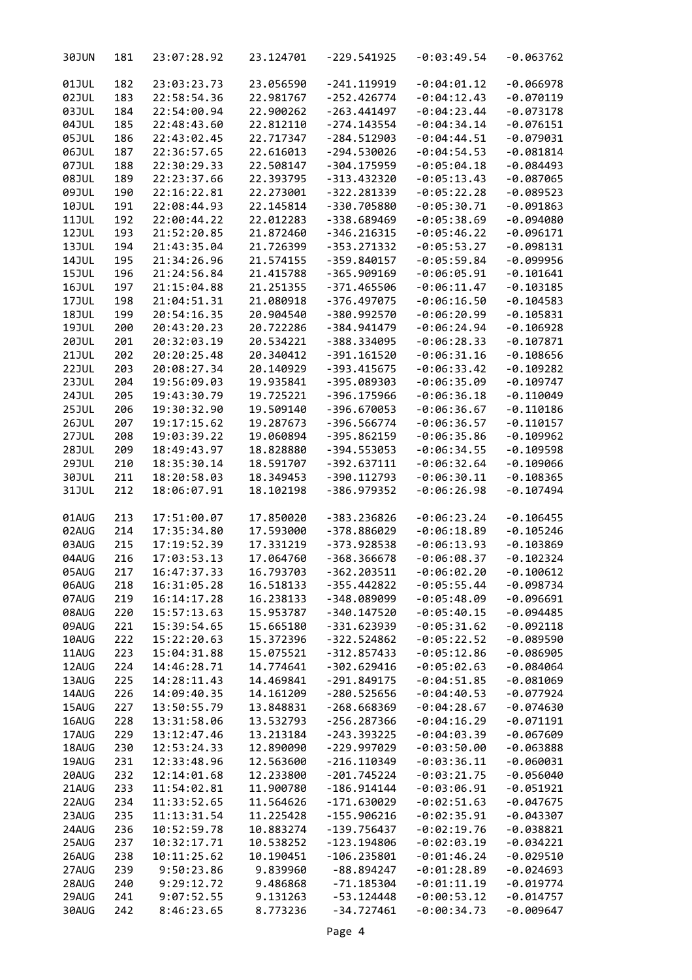| 30JUN        | 181 | 23:07:28.92 | 23.124701 | $-229.541925$ | $-0:03:49.54$ | $-0.063762$ |
|--------------|-----|-------------|-----------|---------------|---------------|-------------|
| 01JUL        | 182 | 23:03:23.73 | 23.056590 | $-241.119919$ | $-0:04:01.12$ | $-0.066978$ |
| 02JUL        | 183 | 22:58:54.36 | 22.981767 | $-252.426774$ | $-0:04:12.43$ | $-0.070119$ |
| 03JUL        | 184 | 22:54:00.94 | 22.900262 | $-263.441497$ | $-0:04:23.44$ | $-0.073178$ |
| 04JUL        | 185 | 22:48:43.60 | 22.812110 | $-274.143554$ | $-0:04:34.14$ | $-0.076151$ |
| 05JUL        | 186 | 22:43:02.45 | 22.717347 | $-284.512903$ | $-0:04:44.51$ | $-0.079031$ |
| 06JUL        | 187 | 22:36:57.65 | 22.616013 | $-294.530026$ | $-0:04:54.53$ | $-0.081814$ |
| 07JUL        | 188 | 22:30:29.33 | 22.508147 | $-304.175959$ | $-0:05:04.18$ | $-0.084493$ |
| <b>08JUL</b> | 189 | 22:23:37.66 | 22.393795 | $-313.432320$ | $-0:05:13.43$ | $-0.087065$ |
|              |     |             |           |               |               |             |
| 09JUL        | 190 | 22:16:22.81 | 22.273001 | $-322.281339$ | $-0:05:22.28$ | $-0.089523$ |
| <b>10JUL</b> | 191 | 22:08:44.93 | 22.145814 | -330.705880   | $-0:05:30.71$ | $-0.091863$ |
| 11JUL        | 192 | 22:00:44.22 | 22.012283 | -338.689469   | $-0:05:38.69$ | $-0.094080$ |
| 12JUL        | 193 | 21:52:20.85 | 21.872460 | $-346.216315$ | $-0:05:46.22$ | $-0.096171$ |
| 13JUL        | 194 | 21:43:35.04 | 21.726399 | $-353.271332$ | $-0:05:53.27$ | $-0.098131$ |
| 14JUL        | 195 | 21:34:26.96 | 21.574155 | $-359.840157$ | $-0:05:59.84$ | $-0.099956$ |
| <b>15JUL</b> | 196 | 21:24:56.84 | 21.415788 | $-365.909169$ | $-0:06:05.91$ | $-0.101641$ |
| 16JUL        | 197 | 21:15:04.88 | 21.251355 | $-371.465506$ | $-0:06:11.47$ | $-0.103185$ |
| 17JUL        | 198 | 21:04:51.31 | 21.080918 | $-376.497075$ | $-0:06:16.50$ | $-0.104583$ |
| <b>18JUL</b> | 199 | 20:54:16.35 | 20.904540 | -380.992570   | $-0:06:20.99$ | $-0.105831$ |
| 19JUL        | 200 | 20:43:20.23 | 20.722286 | -384.941479   | $-0:06:24.94$ | $-0.106928$ |
| 20JUL        | 201 | 20:32:03.19 | 20.534221 | -388.334095   | $-0:06:28.33$ | $-0.107871$ |
| 21JUL        | 202 | 20:20:25.48 | 20.340412 | $-391.161520$ | $-0:06:31.16$ | $-0.108656$ |
| <b>22JUL</b> | 203 | 20:08:27.34 | 20.140929 | $-393.415675$ | $-0:06:33.42$ | $-0.109282$ |
|              |     |             |           | -395.089303   | $-0:06:35.09$ |             |
| 23JUL        | 204 | 19:56:09.03 | 19.935841 |               |               | $-0.109747$ |
| 24JUL        | 205 | 19:43:30.79 | 19.725221 | $-396.175966$ | $-0:06:36.18$ | $-0.110049$ |
| <b>25JUL</b> | 206 | 19:30:32.90 | 19.509140 | $-396.670053$ | $-0:06:36.67$ | $-0.110186$ |
| 26JUL        | 207 | 19:17:15.62 | 19.287673 | $-396.566774$ | $-0:06:36.57$ | $-0.110157$ |
| 27JUL        | 208 | 19:03:39.22 | 19.060894 | -395.862159   | $-0:06:35.86$ | $-0.109962$ |
| <b>28JUL</b> | 209 | 18:49:43.97 | 18.828880 | $-394.553053$ | $-0:06:34.55$ | $-0.109598$ |
| <b>29JUL</b> | 210 | 18:35:30.14 | 18.591707 | $-392.637111$ | $-0:06:32.64$ | $-0.109066$ |
| 30JUL        | 211 | 18:20:58.03 | 18.349453 | $-390.112793$ | $-0:06:30.11$ | $-0.108365$ |
| 31JUL        | 212 | 18:06:07.91 | 18.102198 | -386.979352   | $-0:06:26.98$ | $-0.107494$ |
| 01AUG        | 213 | 17:51:00.07 | 17.850020 | -383.236826   | $-0:06:23.24$ | $-0.106455$ |
| 02AUG        | 214 | 17:35:34.80 | 17.593000 | -378.886029   | $-0:06:18.89$ | $-0.105246$ |
| 03AUG        | 215 | 17:19:52.39 | 17.331219 | $-373.928538$ | $-0:06:13.93$ | $-0.103869$ |
| 04AUG        | 216 | 17:03:53.13 | 17.064760 | $-368.366678$ | $-0:06:08.37$ | $-0.102324$ |
| 05AUG        | 217 | 16:47:37.33 | 16.793703 | $-362.203511$ | $-0:06:02.20$ | $-0.100612$ |
| 06AUG        | 218 | 16:31:05.28 | 16.518133 | $-355.442822$ | $-0:05:55.44$ | $-0.098734$ |
| 07AUG        | 219 | 16:14:17.28 | 16.238133 | -348.089099   | $-0:05:48.09$ | $-0.096691$ |
| 08AUG        | 220 | 15:57:13.63 | 15.953787 | $-340.147520$ | $-0:05:40.15$ | $-0.094485$ |
| 09AUG        | 221 | 15:39:54.65 | 15.665180 | -331.623939   | $-0:05:31.62$ | $-0.092118$ |
|              | 222 | 15:22:20.63 | 15.372396 | $-322.524862$ | $-0:05:22.52$ | $-0.089590$ |
| 10AUG        | 223 | 15:04:31.88 | 15.075521 | $-312.857433$ | $-0:05:12.86$ | $-0.086905$ |
| 11AUG        |     |             |           |               |               |             |
| 12AUG        | 224 | 14:46:28.71 | 14.774641 | $-302.629416$ | $-0:05:02.63$ | $-0.084064$ |
| 13AUG        | 225 | 14:28:11.43 | 14.469841 | $-291.849175$ | $-0:04:51.85$ | $-0.081069$ |
| 14AUG        | 226 | 14:09:40.35 | 14.161209 | $-280.525656$ | $-0:04:40.53$ | $-0.077924$ |
| 15AUG        | 227 | 13:50:55.79 | 13.848831 | $-268.668369$ | $-0:04:28.67$ | $-0.074630$ |
| 16AUG        | 228 | 13:31:58.06 | 13.532793 | $-256.287366$ | $-0:04:16.29$ | $-0.071191$ |
| 17AUG        | 229 | 13:12:47.46 | 13.213184 | $-243.393225$ | $-0:04:03.39$ | $-0.067609$ |
| 18AUG        | 230 | 12:53:24.33 | 12.890090 | -229.997029   | $-0:03:50.00$ | $-0.063888$ |
| 19AUG        | 231 | 12:33:48.96 | 12.563600 | $-216.110349$ | $-0:03:36.11$ | $-0.060031$ |
| 20AUG        | 232 | 12:14:01.68 | 12.233800 | $-201.745224$ | $-0:03:21.75$ | $-0.056040$ |
| 21AUG        | 233 | 11:54:02.81 | 11.900780 | $-186.914144$ | $-0:03:06.91$ | $-0.051921$ |
| 22AUG        | 234 | 11:33:52.65 | 11.564626 | $-171.630029$ | $-0:02:51.63$ | $-0.047675$ |
| 23AUG        | 235 | 11:13:31.54 | 11.225428 | $-155.906216$ | $-0:02:35.91$ | $-0.043307$ |
| 24AUG        | 236 | 10:52:59.78 | 10.883274 | $-139.756437$ | $-0:02:19.76$ | $-0.038821$ |
| 25AUG        | 237 | 10:32:17.71 | 10.538252 | $-123.194806$ | $-0:02:03.19$ | $-0.034221$ |
| 26AUG        | 238 | 10:11:25.62 | 10.190451 | $-106.235801$ | $-0:01:46.24$ | $-0.029510$ |
| 27AUG        | 239 | 9:50:23.86  | 9.839960  | $-88.894247$  | $-0:01:28.89$ | $-0.024693$ |
| 28AUG        | 240 | 9:29:12.72  | 9.486868  | $-71.185304$  | $-0:01:11.19$ | $-0.019774$ |
| 29AUG        | 241 | 9:07:52.55  | 9.131263  | $-53.124448$  | $-0:00:53.12$ | $-0.014757$ |
| 30AUG        | 242 | 8:46:23.65  | 8.773236  | $-34.727461$  | $-0:00:34.73$ | $-0.009647$ |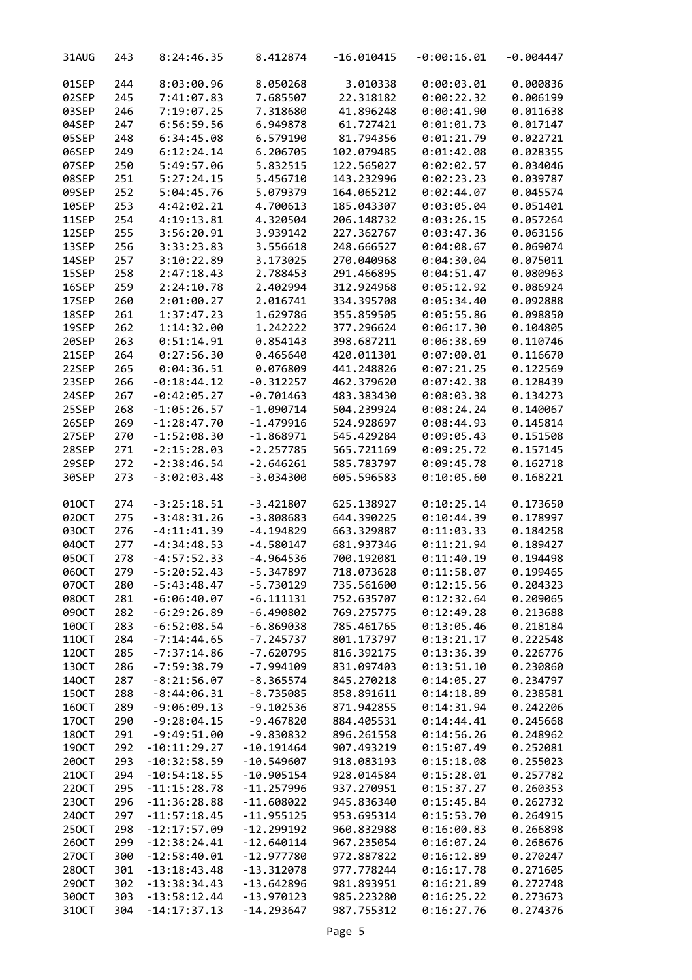| 31AUG | 243 | 8:24:46.35     | 8.412874     | $-16.010415$ | $-0:00:16.01$ | $-0.004447$ |
|-------|-----|----------------|--------------|--------------|---------------|-------------|
| 01SEP | 244 | 8:03:00.96     | 8.050268     | 3.010338     | 0:00:03.01    | 0.000836    |
| 02SEP | 245 | 7:41:07.83     | 7.685507     | 22.318182    | 0:00:22.32    | 0.006199    |
| 03SEP | 246 | 7:19:07.25     | 7.318680     | 41.896248    | 0:00:41.90    | 0.011638    |
| 04SEP | 247 | 6:56:59.56     | 6.949878     | 61.727421    | 0:01:01.73    | 0.017147    |
| 05SEP |     |                |              |              |               |             |
|       | 248 | 6:34:45.08     | 6.579190     | 81.794356    | 0:01:21.79    | 0.022721    |
| 06SEP | 249 | 6:12:24.14     | 6.206705     | 102.079485   | 0:01:42.08    | 0.028355    |
| 07SEP | 250 | 5:49:57.06     | 5.832515     | 122.565027   | 0:02:02.57    | 0.034046    |
| 08SEP | 251 | 5:27:24.15     | 5.456710     | 143.232996   | 0:02:23.23    | 0.039787    |
| 09SEP | 252 | 5:04:45.76     | 5.079379     | 164.065212   | 0:02:44.07    | 0.045574    |
| 10SEP | 253 | 4:42:02.21     | 4.700613     | 185.043307   | 0:03:05.04    | 0.051401    |
| 11SEP | 254 |                |              |              | 0:03:26.15    | 0.057264    |
|       |     | 4:19:13.81     | 4.320504     | 206.148732   |               |             |
| 12SEP | 255 | 3:56:20.91     | 3.939142     | 227.362767   | 0:03:47.36    | 0.063156    |
| 13SEP | 256 | 3:33:23.83     | 3.556618     | 248.666527   | 0:04:08.67    | 0.069074    |
| 14SEP | 257 | 3:10:22.89     | 3.173025     | 270.040968   | 0:04:30.04    | 0.075011    |
| 15SEP | 258 | 2:47:18.43     | 2.788453     | 291.466895   | 0:04:51.47    | 0.080963    |
| 16SEP | 259 | 2:24:10.78     | 2.402994     | 312.924968   | 0:05:12.92    | 0.086924    |
| 17SEP | 260 | 2:01:00.27     | 2.016741     | 334.395708   | 0:05:34.40    | 0.092888    |
| 18SEP | 261 | 1:37:47.23     | 1.629786     | 355.859505   | 0:05:55.86    | 0.098850    |
|       |     |                |              |              |               |             |
| 19SEP | 262 | 1:14:32.00     | 1.242222     | 377.296624   | 0:06:17.30    | 0.104805    |
| 20SEP | 263 | 0:51:14.91     | 0.854143     | 398.687211   | 0:06:38.69    | 0.110746    |
| 21SEP | 264 | 0:27:56.30     | 0.465640     | 420.011301   | 0:07:00.01    | 0.116670    |
| 22SEP | 265 | 0:04:36.51     | 0.076809     | 441.248826   | 0:07:21.25    | 0.122569    |
| 23SEP | 266 | $-0:18:44.12$  | $-0.312257$  | 462.379620   | 0:07:42.38    | 0.128439    |
| 24SEP | 267 | $-0:42:05.27$  | $-0.701463$  | 483.383430   | 0:08:03.38    | 0.134273    |
| 25SEP | 268 | $-1:05:26.57$  | $-1.090714$  | 504.239924   | 0:08:24.24    | 0.140067    |
|       |     |                |              |              |               |             |
| 26SEP | 269 | $-1:28:47.70$  | $-1.479916$  | 524.928697   | 0:08:44.93    | 0.145814    |
| 27SEP | 270 | $-1:52:08.30$  | $-1.868971$  | 545.429284   | 0:09:05.43    | 0.151508    |
| 28SEP | 271 | $-2:15:28.03$  | $-2.257785$  | 565.721169   | 0:09:25.72    | 0.157145    |
| 29SEP | 272 | $-2:38:46.54$  | $-2.646261$  | 585.783797   | 0:09:45.78    | 0.162718    |
| 30SEP | 273 | $-3:02:03.48$  | $-3.034300$  | 605.596583   | 0:10:05.60    | 0.168221    |
| 010CT | 274 | $-3:25:18.51$  | $-3.421807$  | 625.138927   | 0:10:25.14    | 0.173650    |
| 020CT | 275 | $-3:48:31.26$  | $-3.808683$  | 644.390225   | 0:10:44.39    | 0.178997    |
| 030CT | 276 | $-4:11:41.39$  | $-4.194829$  | 663.329887   | 0:11:03.33    | 0.184258    |
| 040CT | 277 | $-4:34:48.53$  | $-4.580147$  | 681.937346   | 0:11:21.94    | 0.189427    |
| 050CT | 278 | $-4:57:52.33$  | $-4.964536$  | 700.192081   | 0:11:40.19    | 0.194498    |
|       |     | $-5:20:52.43$  | $-5.347897$  |              |               |             |
| 060CT | 279 |                |              | 718.073628   | 0:11:58.07    | 0.199465    |
| 070CT | 280 | $-5:43:48.47$  | $-5.730129$  | 735.561600   | 0:12:15.56    | 0.204323    |
| 080CT | 281 | $-6:06:40.07$  | $-6.111131$  | 752.635707   | 0:12:32.64    | 0.209065    |
| 090CT | 282 | $-6:29:26.89$  | $-6.490802$  | 769.275775   | 0:12:49.28    | 0.213688    |
| 100CT | 283 | $-6:52:08.54$  | $-6.869038$  | 785.461765   | 0:13:05.46    | 0.218184    |
| 110CT | 284 | $-7:14:44.65$  | $-7.245737$  | 801.173797   | 0:13:21.17    | 0.222548    |
| 120CT | 285 | $-7:37:14.86$  | $-7.620795$  | 816.392175   | 0:13:36.39    | 0.226776    |
| 130CT | 286 | $-7:59:38.79$  | $-7.994109$  | 831.097403   | 0:13:51.10    | 0.230860    |
|       |     |                |              |              |               |             |
| 140CT | 287 | $-8:21:56.07$  | $-8.365574$  | 845.270218   | 0:14:05.27    | 0.234797    |
| 150CT | 288 | $-8:44:06.31$  | $-8.735085$  | 858.891611   | 0:14:18.89    | 0.238581    |
| 160CT | 289 | $-9:06:09.13$  | $-9.102536$  | 871.942855   | 0:14:31.94    | 0.242206    |
| 170CT | 290 | $-9:28:04.15$  | $-9.467820$  | 884.405531   | 0:14:44.41    | 0.245668    |
| 180CT | 291 | $-9:49:51.00$  | $-9.830832$  | 896.261558   | 0:14:56.26    | 0.248962    |
| 190CT | 292 | $-10:11:29.27$ | $-10.191464$ | 907.493219   | 0:15:07.49    | 0.252081    |
| 200CT | 293 | $-10:32:58.59$ | $-10.549607$ | 918.083193   | 0:15:18.08    | 0.255023    |
|       |     |                |              |              |               |             |
| 210CT | 294 | $-10:54:18.55$ | $-10.905154$ | 928.014584   | 0:15:28.01    | 0.257782    |
| 220CT | 295 | $-11:15:28.78$ | $-11.257996$ | 937.270951   | 0:15:37.27    | 0.260353    |
| 230CT | 296 | $-11:36:28.88$ | $-11.608022$ | 945.836340   | 0:15:45.84    | 0.262732    |
| 240CT | 297 | $-11:57:18.45$ | $-11.955125$ | 953.695314   | 0:15:53.70    | 0.264915    |
| 250CT | 298 | $-12:17:57.09$ | $-12.299192$ | 960.832988   | 0:16:00.83    | 0.266898    |
| 260CT | 299 | $-12:38:24.41$ | $-12.640114$ | 967.235054   | 0:16:07.24    | 0.268676    |
| 270CT | 300 | $-12:58:40.01$ | $-12.977780$ | 972.887822   | 0:16:12.89    | 0.270247    |
| 280CT | 301 | $-13:18:43.48$ | $-13.312078$ | 977.778244   | 0:16:17.78    | 0.271605    |
|       |     |                |              |              |               |             |
| 290CT | 302 | $-13:38:34.43$ | $-13.642896$ | 981.893951   | 0:16:21.89    | 0.272748    |
| 300CT | 303 | $-13:58:12.44$ | $-13.970123$ | 985.223280   | 0:16:25.22    | 0.273673    |
| 310CT | 304 | $-14:17:37.13$ | $-14.293647$ | 987.755312   | 0:16:27.76    | 0.274376    |